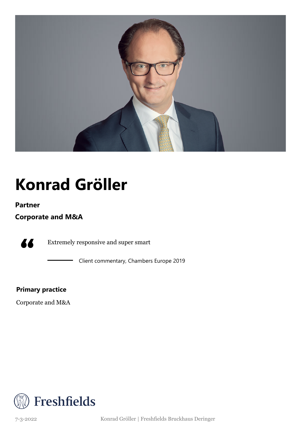

# **Konrad Gröller**

### **Partner**

**Corporate and M&A**

77

Extremely responsive and super smart

Client commentary, Chambers Europe 2019

**Primary practice**

Corporate and M&A



7-3-2022 Konrad Gröller | Freshfields Bruckhaus Deringer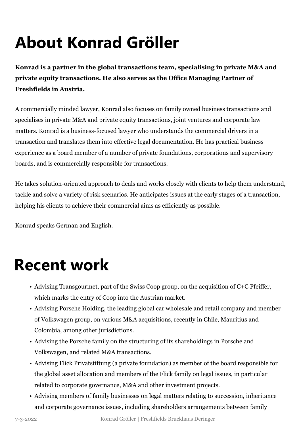# **About Konrad Gröller**

**Konrad is a partner in the global transactions team, specialising in private M&A and private equity transactions. He also serves as the Office Managing Partner of Freshfields in Austria.**

A commercially minded lawyer, Konrad also focuses on family owned business transactions and specialises in private M&A and private equity transactions, joint ventures and corporate law matters. Konrad is a business-focused lawyer who understands the commercial drivers in a transaction and translates them into effective legal documentation. He has practical business experience as a board member of a number of private foundations, corporations and supervisory boards, and is commercially responsible for transactions.

He takes solution-oriented approach to deals and works closely with clients to help them understand, tackle and solve a variety of risk scenarios. He anticipates issues at the early stages of a transaction, helping his clients to achieve their commercial aims as efficiently as possible.

Konrad speaks German and English.

### **Recent work**

- Advising Transgourmet, part of the Swiss Coop group, on the acquisition of C+C Pfeiffer, which marks the entry of Coop into the Austrian market.
- Advising Porsche Holding, the leading global car wholesale and retail company and member of Volkswagen group, on various M&A acquisitions, recently in Chile, Mauritius and Colombia, among other jurisdictions.
- Advising the Porsche family on the structuring of its shareholdings in Porsche and Volkswagen, and related M&A transactions.
- Advising Flick Privatstiftung (a private foundation) as member of the board responsible for the global asset allocation and members of the Flick family on legal issues, in particular related to corporate governance, M&A and other investment projects.
- Advising members of family businesses on legal matters relating to succession, inheritance and corporate governance issues, including shareholders arrangements between family